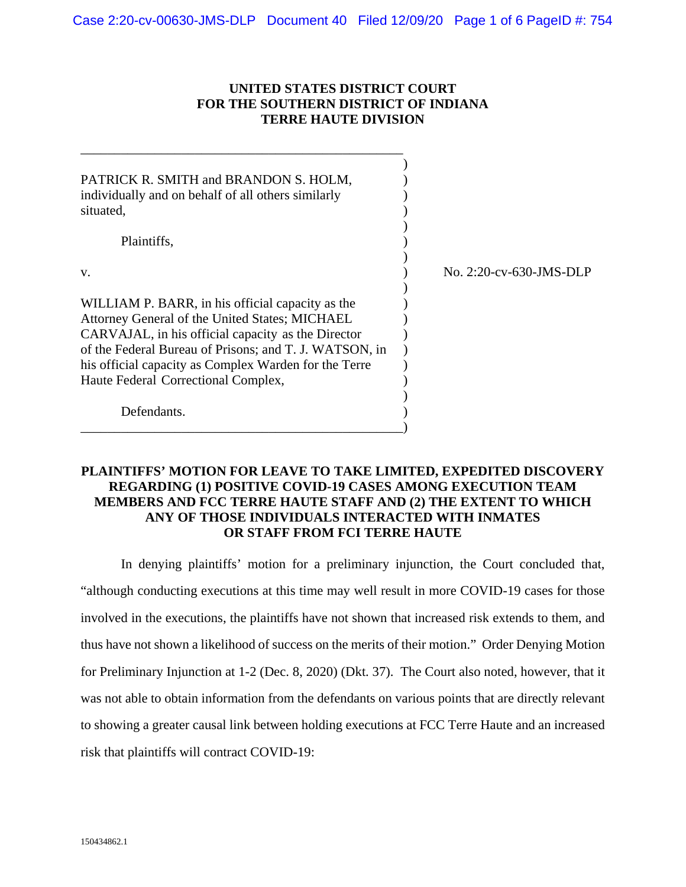# **UNITED STATES DISTRICT COURT FOR THE SOUTHERN DISTRICT OF INDIANA TERRE HAUTE DIVISION**

\_\_\_\_\_\_\_\_\_\_\_\_\_\_\_\_\_\_\_\_\_\_\_\_\_\_\_\_\_\_\_\_\_\_\_\_\_\_\_\_\_\_\_\_\_\_\_\_

| PATRICK R. SMITH and BRANDON S. HOLM,<br>individually and on behalf of all others similarly<br>situated,                                                                                                                                                                                                           |                         |
|--------------------------------------------------------------------------------------------------------------------------------------------------------------------------------------------------------------------------------------------------------------------------------------------------------------------|-------------------------|
| Plaintiffs,                                                                                                                                                                                                                                                                                                        |                         |
| V.                                                                                                                                                                                                                                                                                                                 | No. 2:20-cv-630-JMS-DLP |
| WILLIAM P. BARR, in his official capacity as the<br>Attorney General of the United States; MICHAEL<br>CARVAJAL, in his official capacity as the Director<br>of the Federal Bureau of Prisons; and T. J. WATSON, in<br>his official capacity as Complex Warden for the Terre<br>Haute Federal Correctional Complex, |                         |
| Defendants.                                                                                                                                                                                                                                                                                                        |                         |

# **PLAINTIFFS' MOTION FOR LEAVE TO TAKE LIMITED, EXPEDITED DISCOVERY REGARDING (1) POSITIVE COVID-19 CASES AMONG EXECUTION TEAM MEMBERS AND FCC TERRE HAUTE STAFF AND (2) THE EXTENT TO WHICH ANY OF THOSE INDIVIDUALS INTERACTED WITH INMATES OR STAFF FROM FCI TERRE HAUTE**

In denying plaintiffs' motion for a preliminary injunction, the Court concluded that, "although conducting executions at this time may well result in more COVID-19 cases for those involved in the executions, the plaintiffs have not shown that increased risk extends to them, and thus have not shown a likelihood of success on the merits of their motion." Order Denying Motion for Preliminary Injunction at 1-2 (Dec. 8, 2020) (Dkt. 37). The Court also noted, however, that it was not able to obtain information from the defendants on various points that are directly relevant to showing a greater causal link between holding executions at FCC Terre Haute and an increased risk that plaintiffs will contract COVID-19: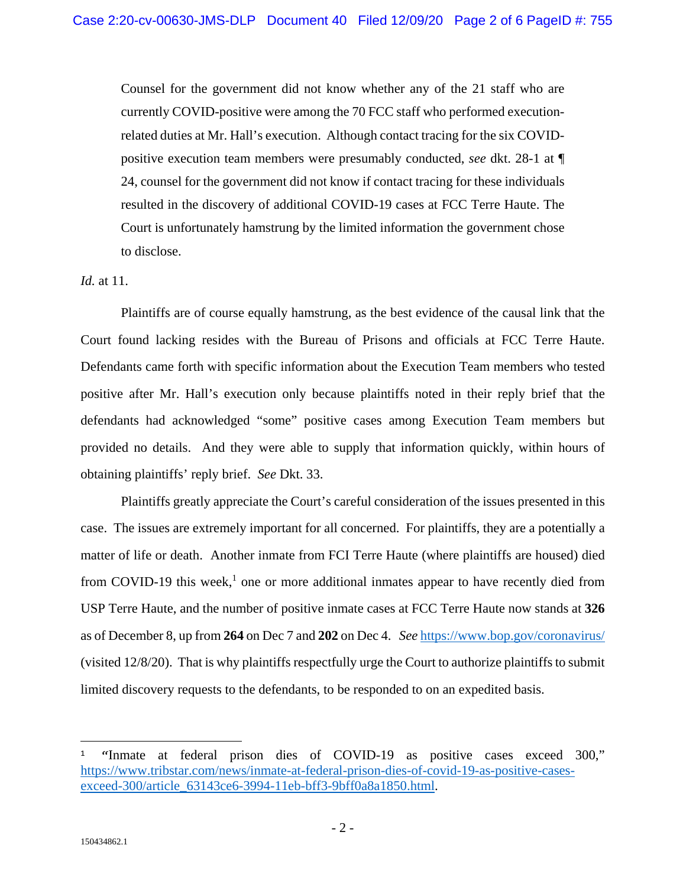Counsel for the government did not know whether any of the 21 staff who are currently COVID-positive were among the 70 FCC staff who performed executionrelated duties at Mr. Hall's execution. Although contact tracing for the six COVIDpositive execution team members were presumably conducted, *see* dkt. 28-1 at ¶ 24, counsel for the government did not know if contact tracing for these individuals resulted in the discovery of additional COVID-19 cases at FCC Terre Haute. The Court is unfortunately hamstrung by the limited information the government chose to disclose.

#### *Id.* at 11.

Plaintiffs are of course equally hamstrung, as the best evidence of the causal link that the Court found lacking resides with the Bureau of Prisons and officials at FCC Terre Haute. Defendants came forth with specific information about the Execution Team members who tested positive after Mr. Hall's execution only because plaintiffs noted in their reply brief that the defendants had acknowledged "some" positive cases among Execution Team members but provided no details. And they were able to supply that information quickly, within hours of obtaining plaintiffs' reply brief. *See* Dkt. 33.

Plaintiffs greatly appreciate the Court's careful consideration of the issues presented in this case. The issues are extremely important for all concerned. For plaintiffs, they are a potentially a matter of life or death. Another inmate from FCI Terre Haute (where plaintiffs are housed) died from COVID-19 this week,<sup>1</sup> one or more additional inmates appear to have recently died from USP Terre Haute, and the number of positive inmate cases at FCC Terre Haute now stands at **326** as of December 8, up from **264** on Dec 7 and **202** on Dec 4. *See* https://www.bop.gov/coronavirus/ (visited 12/8/20). That is why plaintiffs respectfully urge the Court to authorize plaintiffs to submit limited discovery requests to the defendants, to be responded to on an expedited basis.

<u>.</u>

<sup>1</sup> "Inmate at federal prison dies of COVID-19 as positive cases exceed 300," https://www.tribstar.com/news/inmate-at-federal-prison-dies-of-covid-19-as-positive-casesexceed-300/article\_63143ce6-3994-11eb-bff3-9bff0a8a1850.html.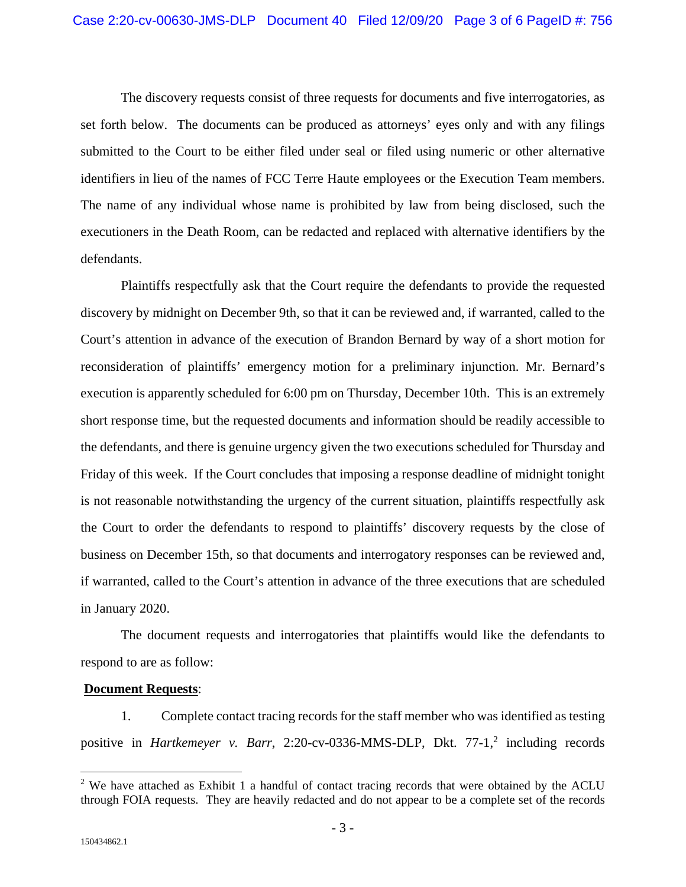The discovery requests consist of three requests for documents and five interrogatories, as set forth below. The documents can be produced as attorneys' eyes only and with any filings submitted to the Court to be either filed under seal or filed using numeric or other alternative identifiers in lieu of the names of FCC Terre Haute employees or the Execution Team members. The name of any individual whose name is prohibited by law from being disclosed, such the executioners in the Death Room, can be redacted and replaced with alternative identifiers by the defendants.

Plaintiffs respectfully ask that the Court require the defendants to provide the requested discovery by midnight on December 9th, so that it can be reviewed and, if warranted, called to the Court's attention in advance of the execution of Brandon Bernard by way of a short motion for reconsideration of plaintiffs' emergency motion for a preliminary injunction. Mr. Bernard's execution is apparently scheduled for 6:00 pm on Thursday, December 10th. This is an extremely short response time, but the requested documents and information should be readily accessible to the defendants, and there is genuine urgency given the two executions scheduled for Thursday and Friday of this week. If the Court concludes that imposing a response deadline of midnight tonight is not reasonable notwithstanding the urgency of the current situation, plaintiffs respectfully ask the Court to order the defendants to respond to plaintiffs' discovery requests by the close of business on December 15th, so that documents and interrogatory responses can be reviewed and, if warranted, called to the Court's attention in advance of the three executions that are scheduled in January 2020.

The document requests and interrogatories that plaintiffs would like the defendants to respond to are as follow:

#### **Document Requests**:

1. Complete contact tracing records for the staff member who was identified as testing positive in *Hartkemeyer v. Barr*, 2:20-cv-0336-MMS-DLP, Dkt. 77-1,<sup>2</sup> including records

 $\overline{a}$ 

 $2$  We have attached as Exhibit 1 a handful of contact tracing records that were obtained by the ACLU through FOIA requests. They are heavily redacted and do not appear to be a complete set of the records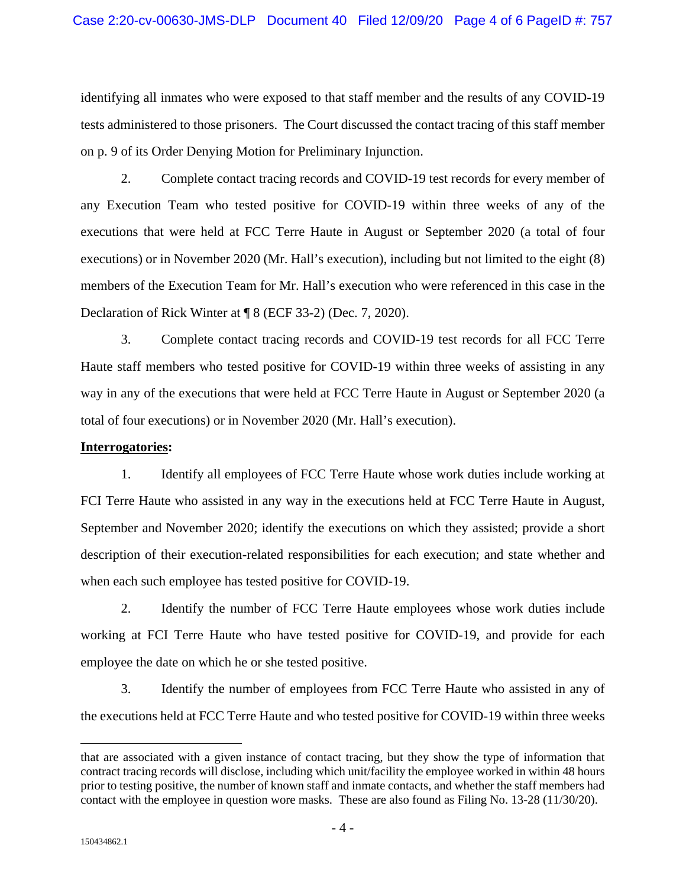identifying all inmates who were exposed to that staff member and the results of any COVID-19 tests administered to those prisoners. The Court discussed the contact tracing of this staff member on p. 9 of its Order Denying Motion for Preliminary Injunction.

2. Complete contact tracing records and COVID-19 test records for every member of any Execution Team who tested positive for COVID-19 within three weeks of any of the executions that were held at FCC Terre Haute in August or September 2020 (a total of four executions) or in November 2020 (Mr. Hall's execution), including but not limited to the eight (8) members of the Execution Team for Mr. Hall's execution who were referenced in this case in the Declaration of Rick Winter at ¶ 8 (ECF 33-2) (Dec. 7, 2020).

3. Complete contact tracing records and COVID-19 test records for all FCC Terre Haute staff members who tested positive for COVID-19 within three weeks of assisting in any way in any of the executions that were held at FCC Terre Haute in August or September 2020 (a total of four executions) or in November 2020 (Mr. Hall's execution).

## **Interrogatories:**

1. Identify all employees of FCC Terre Haute whose work duties include working at FCI Terre Haute who assisted in any way in the executions held at FCC Terre Haute in August, September and November 2020; identify the executions on which they assisted; provide a short description of their execution-related responsibilities for each execution; and state whether and when each such employee has tested positive for COVID-19.

2. Identify the number of FCC Terre Haute employees whose work duties include working at FCI Terre Haute who have tested positive for COVID-19, and provide for each employee the date on which he or she tested positive.

3. Identify the number of employees from FCC Terre Haute who assisted in any of the executions held at FCC Terre Haute and who tested positive for COVID-19 within three weeks

 $\overline{a}$ 

that are associated with a given instance of contact tracing, but they show the type of information that contract tracing records will disclose, including which unit/facility the employee worked in within 48 hours prior to testing positive, the number of known staff and inmate contacts, and whether the staff members had contact with the employee in question wore masks. These are also found as Filing No. 13-28 (11/30/20).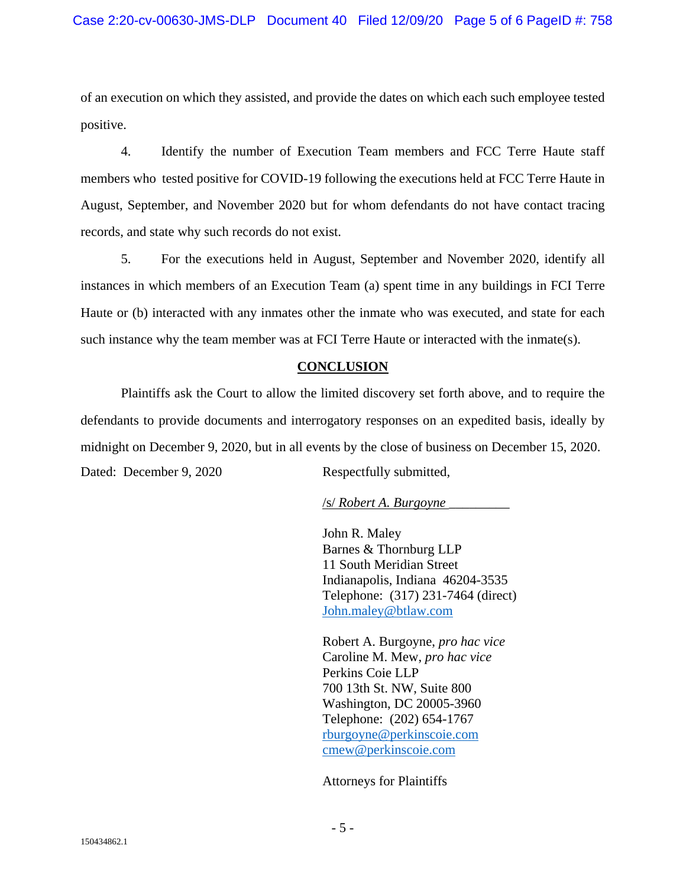of an execution on which they assisted, and provide the dates on which each such employee tested positive.

4. Identify the number of Execution Team members and FCC Terre Haute staff members who tested positive for COVID-19 following the executions held at FCC Terre Haute in August, September, and November 2020 but for whom defendants do not have contact tracing records, and state why such records do not exist.

5. For the executions held in August, September and November 2020, identify all instances in which members of an Execution Team (a) spent time in any buildings in FCI Terre Haute or (b) interacted with any inmates other the inmate who was executed, and state for each such instance why the team member was at FCI Terre Haute or interacted with the inmate(s).

# **CONCLUSION**

Plaintiffs ask the Court to allow the limited discovery set forth above, and to require the defendants to provide documents and interrogatory responses on an expedited basis, ideally by midnight on December 9, 2020, but in all events by the close of business on December 15, 2020. Dated: December 9, 2020 Respectfully submitted,

# /s/ *Robert A. Burgoyne* \_\_\_\_\_\_\_\_\_

John R. Maley Barnes & Thornburg LLP 11 South Meridian Street Indianapolis, Indiana 46204-3535 Telephone: (317) 231-7464 (direct) John.maley@btlaw.com

Robert A. Burgoyne, *pro hac vice* Caroline M. Mew, *pro hac vice* Perkins Coie LLP 700 13th St. NW, Suite 800 Washington, DC 20005-3960 Telephone: (202) 654-1767 rburgoyne@perkinscoie.com cmew@perkinscoie.com

Attorneys for Plaintiffs